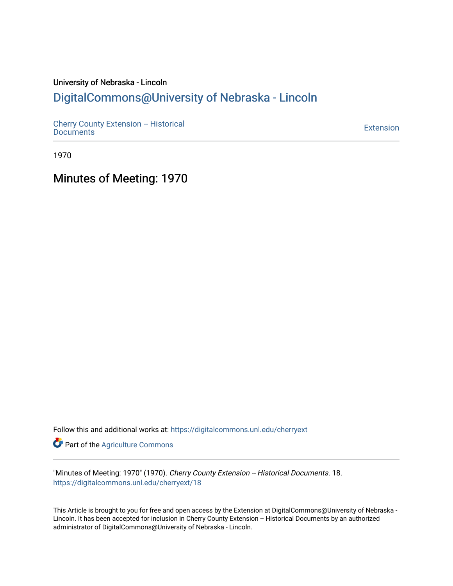# University of Nebraska - Lincoln [DigitalCommons@University of Nebraska - Lincoln](https://digitalcommons.unl.edu/)

[Cherry County Extension -- Historical](https://digitalcommons.unl.edu/cherryext)  [Documents](https://digitalcommons.unl.edu/cherryext) [Extension](https://digitalcommons.unl.edu/coop_extension) 

1970

Minutes of Meeting: 1970

Follow this and additional works at: [https://digitalcommons.unl.edu/cherryext](https://digitalcommons.unl.edu/cherryext?utm_source=digitalcommons.unl.edu%2Fcherryext%2F18&utm_medium=PDF&utm_campaign=PDFCoverPages) 

**Part of the [Agriculture Commons](http://network.bepress.com/hgg/discipline/1076?utm_source=digitalcommons.unl.edu%2Fcherryext%2F18&utm_medium=PDF&utm_campaign=PDFCoverPages)** 

"Minutes of Meeting: 1970" (1970). Cherry County Extension -- Historical Documents. 18. [https://digitalcommons.unl.edu/cherryext/18](https://digitalcommons.unl.edu/cherryext/18?utm_source=digitalcommons.unl.edu%2Fcherryext%2F18&utm_medium=PDF&utm_campaign=PDFCoverPages)

This Article is brought to you for free and open access by the Extension at DigitalCommons@University of Nebraska - Lincoln. It has been accepted for inclusion in Cherry County Extension -- Historical Documents by an authorized administrator of DigitalCommons@University of Nebraska - Lincoln.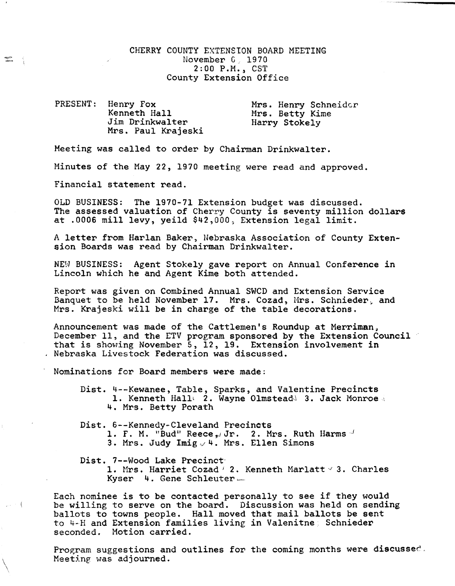## CHERRY COUNTY EXTENSION BOARD MEETING November G, 1970 2:00 P.M., CST County Extension Office

PRESENT: Henry Fox Kenneth Hall Jim Drinkwalter Mrs. Paul Krajeski Mrs. Henry Schneider Mrs. Betty Kime Harry Stokely

Meeting was called to order by Chairman Drinkwalter.

Minutes of the May 22, 1970 meeting were read and approved.

Financial statement read.

OLD BUSINESS: The 1970-71 Extension budget was discussed. The assessed valuation of Cherry County is seventy million dollars at .0006 mill levy, yeild \$42,000, Extension legal limit.

A letter from Harlan Baker, Nebraska Association of County Extension Boards was read by Chairman Drinkwalter.

NEW BUSINESS: Agent Stokely gave report on Annual Conference in Lincoln which he and Agent Kime both attended.

Report was given on Combined Annual SWCD and Extension Service Banquet to be held November 17. Mrs. Cozad, Mrs. Schnieder, and Mrs. Krajeski will be in charge of the table decorations.

Announcement was made of the Cattlemen's Roundup at Merriman, December 11, and the ETV program sponsored by the Extension Council that is showing November 5, 12, 19. Extension involvement in Nebraska Livestock Federation was discussed.

Nominations for Board members were made:

Dist. 4--Kewanee, Table, Sparks, and Valentine Precincts 1. Kenneth Hall<sup>1</sup> 2. Wayne Olmstead<sup>1</sup> 3. Jack Monroe 4. Mrs. Betty Porath

Dist. 6--Kennedy-Cleveland Precincts

1. F. M. "Bud" Reece, Jr. 2. Mrs. Ruth Harms.

3. Mrs. Judy Imig,/4. Mrs. Ellen Simons

Dist. 7--Wood Lake Precinct'

 $\setminus$ 

 $\sim$   $-1$ 

 $\Xi$  (

1. Mrs. Harriet Cozad <sup>2</sup> 2. Kenneth Marlatt <sup>2</sup> 3. Charles Kyser 4. Gene Schleuter.

Each nominee is to be contacted personally to see if they would be willing to serve on the board. Discussion was held on sending ballots to towns people. Hall moved that mail ballots be sent to 4-H and Extension families living in Valenitne. Schnieder seconded. Motion carried.

Program suggestions and outlines for the coming months were discussed. Meeting was adjourned.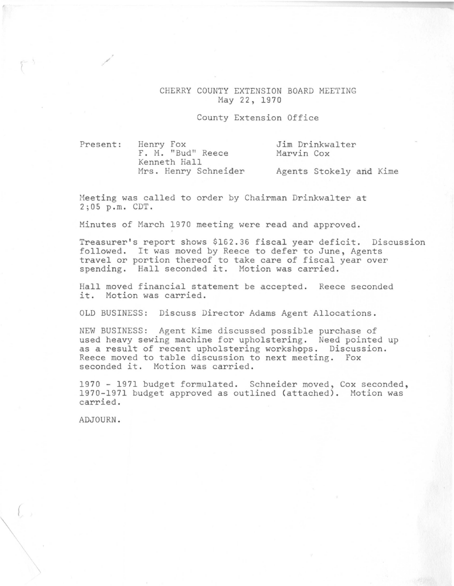### CHERRY COUNTY EXTENSION BOARD MEETING May 22, 1970

#### County Extension Office

Present:

/

Henry Fox F. M. "Bud" Reece Kenneth Hall Mrs. Henry Schneider

Jim Drinkwalter Marvin Cox

Agents Stokely and Kime

Meeting was called to order by Chairman Drinkwalter at 2;05 p.m. CDT.

Minutes of March 1970 meeting were read and approved.

Treasurer's report shows \$162.36 fiscal year deficit. Discussion followed. It was moved by Reece to defer to June, Agents travel or portion thereof to take care of fiscal year over spending. Hall seconded it. Motion was carried.

Hall moved financial statement be accepted. Reece seconded it. Motion was carried.

OLD BUSINESS: Discuss Director Adams Agent Allocations.

NEW BUSINESS: Agent Kime discussed possible purchase of used heavy sewing machine for upholstering. Need pointed up as a result of recent upholstering workshops. Discussion. Reece moved to table discussion to next meeting. Fox seconded it. Motion was carried.

1970 - 1971 budget formulated. Schneider moved, Cox seconded, 1970-1971 budget approved as outlined (attached). Motion was carried.

ADJOURN.

(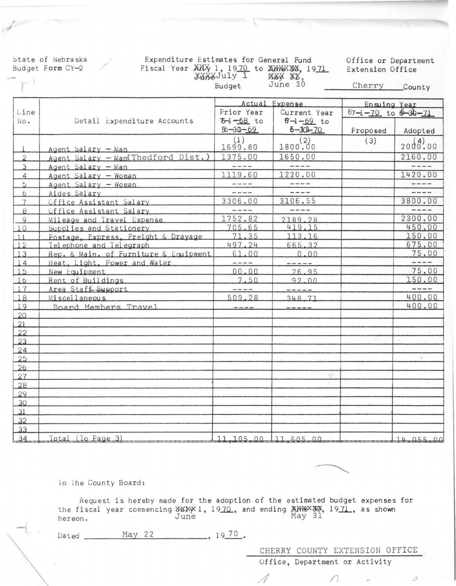State of Nebraska Budget Form CY-2

#### Expenditure Estimates for General Fund Fiscal Year XXX 1, 1970 to XXXXXX, 1971<br>XXXXJuly 1 MXXXXX, **NXX XX,**<br>June 30 Budget

Office or Department Extension Office

Cherry County

|                | Detail Expenditure Accounts                              | Actual Expense                                                                                                                                                                                                                                                                                                                                                                                                                                                             |                                                                                                                                                                                                                                                                                                                                                                                              | Ensuing Year<br>$67 - 1 - 70$ to $6 - 30 - 71$ |                        |
|----------------|----------------------------------------------------------|----------------------------------------------------------------------------------------------------------------------------------------------------------------------------------------------------------------------------------------------------------------------------------------------------------------------------------------------------------------------------------------------------------------------------------------------------------------------------|----------------------------------------------------------------------------------------------------------------------------------------------------------------------------------------------------------------------------------------------------------------------------------------------------------------------------------------------------------------------------------------------|------------------------------------------------|------------------------|
| Line<br>No.    |                                                          | Prior Year<br>$T-68$ to                                                                                                                                                                                                                                                                                                                                                                                                                                                    | Current Year<br>$6 - 1 - 69$ to                                                                                                                                                                                                                                                                                                                                                              |                                                |                        |
|                |                                                          | $56 - 30 - 69$                                                                                                                                                                                                                                                                                                                                                                                                                                                             | $6 - 30 - 70$                                                                                                                                                                                                                                                                                                                                                                                | Proposed                                       | Adopted                |
|                |                                                          | (1)<br>1699.80                                                                                                                                                                                                                                                                                                                                                                                                                                                             | $1800^{(2)}_{00}$                                                                                                                                                                                                                                                                                                                                                                            | (3)                                            | 20000000               |
| $\overline{2}$ | Agent Salary - Man<br>Agent Salary - Man(Thedford Dist.) | 1375.00                                                                                                                                                                                                                                                                                                                                                                                                                                                                    | 1650.00                                                                                                                                                                                                                                                                                                                                                                                      |                                                | 2160.00                |
| $\overline{3}$ | Agent Salary - Man                                       | $\cdots$                                                                                                                                                                                                                                                                                                                                                                                                                                                                   | $- - - -$                                                                                                                                                                                                                                                                                                                                                                                    |                                                | ----                   |
| $\overline{4}$ | Agent Salary - Woman                                     | 1119.60                                                                                                                                                                                                                                                                                                                                                                                                                                                                    | 1220.00                                                                                                                                                                                                                                                                                                                                                                                      |                                                | 1420.00                |
| 5              | Agent Salary - Woman                                     | $\frac{1}{2} \frac{1}{2} \frac{1}{2} \frac{1}{2} \frac{1}{2} \frac{1}{2} \frac{1}{2} \frac{1}{2} \frac{1}{2} \frac{1}{2} \frac{1}{2} \frac{1}{2} \frac{1}{2} \frac{1}{2} \frac{1}{2} \frac{1}{2} \frac{1}{2} \frac{1}{2} \frac{1}{2} \frac{1}{2} \frac{1}{2} \frac{1}{2} \frac{1}{2} \frac{1}{2} \frac{1}{2} \frac{1}{2} \frac{1}{2} \frac{1}{2} \frac{1}{2} \frac{1}{2} \frac{1}{2} \frac{$                                                                               | $\frac{1}{2} \frac{1}{2} \frac{1}{2} \frac{1}{2} \frac{1}{2} \frac{1}{2} \frac{1}{2} \frac{1}{2} \frac{1}{2} \frac{1}{2} \frac{1}{2} \frac{1}{2} \frac{1}{2} \frac{1}{2} \frac{1}{2} \frac{1}{2} \frac{1}{2} \frac{1}{2} \frac{1}{2} \frac{1}{2} \frac{1}{2} \frac{1}{2} \frac{1}{2} \frac{1}{2} \frac{1}{2} \frac{1}{2} \frac{1}{2} \frac{1}{2} \frac{1}{2} \frac{1}{2} \frac{1}{2} \frac{$ |                                                | ----                   |
| 6              | Aides Salary                                             | $- - - -$                                                                                                                                                                                                                                                                                                                                                                                                                                                                  | $- - - -$                                                                                                                                                                                                                                                                                                                                                                                    |                                                | $-- - -$               |
| $\overline{7}$ | Office Assistant Salary                                  | 3306.00                                                                                                                                                                                                                                                                                                                                                                                                                                                                    | 3106.55                                                                                                                                                                                                                                                                                                                                                                                      |                                                | 3800.00                |
| $\overline{8}$ | Office Assistant Salary                                  | $\frac{1}{2}$                                                                                                                                                                                                                                                                                                                                                                                                                                                              | -----                                                                                                                                                                                                                                                                                                                                                                                        |                                                |                        |
| 9              | Mileage and Travel Expense                               | 1752.82                                                                                                                                                                                                                                                                                                                                                                                                                                                                    | 2189.28                                                                                                                                                                                                                                                                                                                                                                                      |                                                | 2300.00                |
| 10             | Supplies and Stationery                                  | 705.65                                                                                                                                                                                                                                                                                                                                                                                                                                                                     | 419.15                                                                                                                                                                                                                                                                                                                                                                                       |                                                | 450.00                 |
| 11             | Postage, Express, Freight & Drayage                      | 71.35                                                                                                                                                                                                                                                                                                                                                                                                                                                                      | 113.16                                                                                                                                                                                                                                                                                                                                                                                       |                                                | 150.00                 |
| 12             | Telephone and Telegraph                                  | 497.24                                                                                                                                                                                                                                                                                                                                                                                                                                                                     | 665.32                                                                                                                                                                                                                                                                                                                                                                                       |                                                | 675.00                 |
| 13             | Rep. & Main. of Furniture & Equipment                    | 61.00                                                                                                                                                                                                                                                                                                                                                                                                                                                                      | 0.00                                                                                                                                                                                                                                                                                                                                                                                         |                                                | 75.00                  |
| 14             | Heat, Light, Power and Water                             | $\frac{1}{1}$                                                                                                                                                                                                                                                                                                                                                                                                                                                              | -----                                                                                                                                                                                                                                                                                                                                                                                        |                                                | $\cdots \cdots \cdots$ |
| $15$           | New Equipment                                            | 00.00                                                                                                                                                                                                                                                                                                                                                                                                                                                                      | 26.95                                                                                                                                                                                                                                                                                                                                                                                        |                                                | 75.00                  |
| $16$           | Rent of Buildings                                        | 7.50                                                                                                                                                                                                                                                                                                                                                                                                                                                                       | 92.00                                                                                                                                                                                                                                                                                                                                                                                        |                                                | 150.00                 |
| 17             | Area Staff Support                                       | $\frac{1}{2} \left( \frac{1}{2} \right) \left( \frac{1}{2} \right) \left( \frac{1}{2} \right) \left( \frac{1}{2} \right) \left( \frac{1}{2} \right) \left( \frac{1}{2} \right) \left( \frac{1}{2} \right) \left( \frac{1}{2} \right) \left( \frac{1}{2} \right) \left( \frac{1}{2} \right) \left( \frac{1}{2} \right) \left( \frac{1}{2} \right) \left( \frac{1}{2} \right) \left( \frac{1}{2} \right) \left( \frac{1}{2} \right) \left( \frac{1}{2} \right) \left( \frac$ | $- - - - - - -$                                                                                                                                                                                                                                                                                                                                                                              |                                                | $\frac{1}{2}$          |
| $\boxed{18}$   | Miscellaneous                                            | 509.28                                                                                                                                                                                                                                                                                                                                                                                                                                                                     | 348.71                                                                                                                                                                                                                                                                                                                                                                                       |                                                | 400.00                 |
| 19             | Board Members Travel                                     | $   -$                                                                                                                                                                                                                                                                                                                                                                                                                                                                     | ------                                                                                                                                                                                                                                                                                                                                                                                       |                                                | 400.00                 |
| 20             |                                                          |                                                                                                                                                                                                                                                                                                                                                                                                                                                                            |                                                                                                                                                                                                                                                                                                                                                                                              |                                                |                        |
| 21             |                                                          |                                                                                                                                                                                                                                                                                                                                                                                                                                                                            |                                                                                                                                                                                                                                                                                                                                                                                              |                                                |                        |
| 22             |                                                          |                                                                                                                                                                                                                                                                                                                                                                                                                                                                            |                                                                                                                                                                                                                                                                                                                                                                                              |                                                |                        |
| 23             |                                                          |                                                                                                                                                                                                                                                                                                                                                                                                                                                                            |                                                                                                                                                                                                                                                                                                                                                                                              |                                                |                        |
| 24             |                                                          |                                                                                                                                                                                                                                                                                                                                                                                                                                                                            |                                                                                                                                                                                                                                                                                                                                                                                              |                                                |                        |
| 25             |                                                          |                                                                                                                                                                                                                                                                                                                                                                                                                                                                            |                                                                                                                                                                                                                                                                                                                                                                                              |                                                | $\overrightarrow{a}$   |
| 26             |                                                          |                                                                                                                                                                                                                                                                                                                                                                                                                                                                            |                                                                                                                                                                                                                                                                                                                                                                                              |                                                |                        |
| 27             |                                                          |                                                                                                                                                                                                                                                                                                                                                                                                                                                                            | 序                                                                                                                                                                                                                                                                                                                                                                                            |                                                |                        |
| 28             |                                                          |                                                                                                                                                                                                                                                                                                                                                                                                                                                                            |                                                                                                                                                                                                                                                                                                                                                                                              |                                                |                        |
| 29             |                                                          |                                                                                                                                                                                                                                                                                                                                                                                                                                                                            |                                                                                                                                                                                                                                                                                                                                                                                              |                                                |                        |
| 30             |                                                          |                                                                                                                                                                                                                                                                                                                                                                                                                                                                            |                                                                                                                                                                                                                                                                                                                                                                                              |                                                |                        |
| 31             |                                                          |                                                                                                                                                                                                                                                                                                                                                                                                                                                                            |                                                                                                                                                                                                                                                                                                                                                                                              |                                                |                        |
| 32             |                                                          |                                                                                                                                                                                                                                                                                                                                                                                                                                                                            |                                                                                                                                                                                                                                                                                                                                                                                              |                                                |                        |
| 33             |                                                          |                                                                                                                                                                                                                                                                                                                                                                                                                                                                            |                                                                                                                                                                                                                                                                                                                                                                                              |                                                |                        |
| 34             | Total (To Page 3)                                        | 11, 105, 00 11, 605, 00                                                                                                                                                                                                                                                                                                                                                                                                                                                    |                                                                                                                                                                                                                                                                                                                                                                                              |                                                | 14.055.00              |

lo lhe County Board:

Request is hereby made for the adoption of the estimated budget expenses for the fiscal year commencing NEW 1, 1970, and ending XXXXXX, 1971, as shown<br>June June May 31 hereon.

 $\frac{1970}{ }$ May 22 Dated \_

CHERRY COUNTY EXTENSION OFFICE

 $27$ 

 $\varOmega$ 

Office, Department or Activity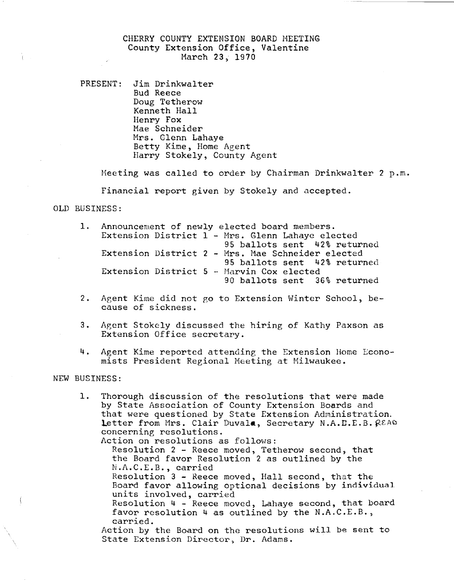# CHERRY COUNTY EXTENSION BOARD MEETING County Extension Office, Valentine March 23, 1970

PRESENT: Jim Drinkwalter Bud Reece Doug Tetherow Kenneth Hall Henry Fox Mae Schneider Mrs. Glenn Lahaye Betty Kime, Home Agent Harry Stokely, County Agent

Meeting was called to order by Chairman Drinkwalter 2 p.m.

Financial report given by Stokely and accepted.

# OLD BUSINESS:

|  |  | 1. Announcement of newly elected board members.   |
|--|--|---------------------------------------------------|
|  |  | Extension District 1 - Mrs. Glenn Lahaye elected  |
|  |  | 95 ballots sent 42% returned                      |
|  |  | Extension District 2 - Mrs. Mae Schneider elected |
|  |  | 95 ballots sent 42% returned                      |
|  |  | Extension District 5 - Marvin Cox elected         |
|  |  | 90 ballots sent 36% returned                      |

- 2. Agent Kime did not go to Extension Winter School, because of sickness.
- 3. Agent Stokely discussed the hiring of Kathy Paxson as Extension Office secretary.
- 4. Agent Kime reported attending the Extension Home Economists President Regional Meeting at Milwaukee.

#### NEW BUSINESS:

1. Thorough discussion of the resolutions that were made by State Association of County Extension Boards and that were questioned by State Extension Administration. Letter from Mrs. Clair Duvala, Secretary N.A.D.E.B. READ concerning resolutions.

Action on resolutions as follows: Resolution 2 - Reece moved, Tetherow second, that the Board favor Resolution 2 as outlined by the N.h.C.E.B., carried Resolution 3 - Reece moved, Hall second, that the Board favor allowing optional decisions by individual units involved, carried Resolution 4 - Reece moved, Lahaye second, that board favor resolution 4 as outlined by the N.A.C.E.B., carried. Action by the Board on the resolutions will be sent to State Extension Director, Dr. Adams.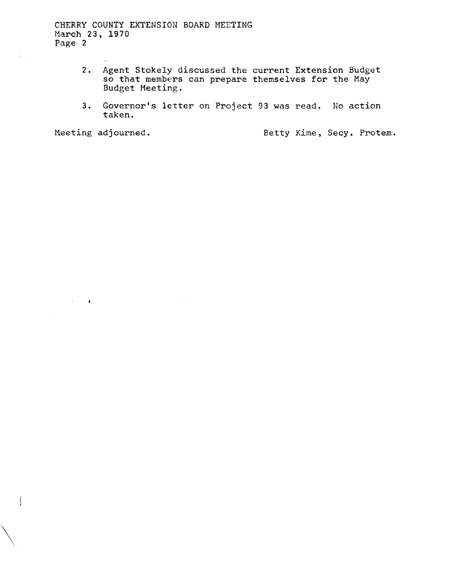CHERRY COUNTY EXTENSION BOARD MEETING March 23, 1970 Page 2

- 2. Agent Stokely discussed the current Extension Budget so that members can prepare themselves for the May Budget Meeting.
- 3. Governor's letter on Project 93 was read. No action taken.

 $\sim$   $\pm$ 

 $\setminus$ 

 $\int$ 

Meeting adjourned. The Sectrician Betty Kime, Secy. Protem.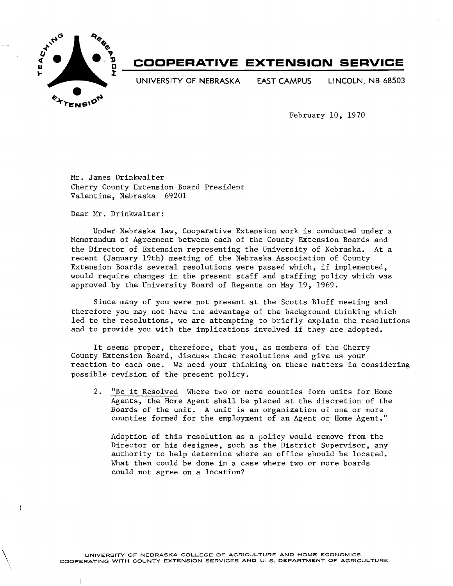

 $\setminus$ 

# **COOPERATIVE EXTENSION SERVICE**

**UNIVERSITY OF NEBRASKA EAST CAMPUS LINCOLN, NB** 68503

February 10, 1970

Mr. James Drinkwalter Cherry County Extension Board President Valentine, Nebraska 69201

Dear Mr. Drinkwalter:

Under Nebraska law, Cooperative Extension work is conducted under a Memorandum of Agreement between each of the County Extension Boards and the Director of Extension representing the University of Nebraska. At a recent (January 19th) meeting of the Nebraska Association of County Extension Boards several resolutions were passed which, if implemented, would require changes in the present staff and staffing policy which was approved by the University Board of Regents on May 19, 1969.

Since many of you were not present at the Scotts Bluff meeting and therefore you may not have the advantage of the background thinking which led to the resolutions, we are attempting to briefly explain the resolutions and to provide you with the implications involved if they are adopted.

It seems proper, therefore, that you, as members of the Cherry County Extension Board, discuss these resolutions and give us your reaction to each one. We need your thinking on these matters in considering possible revision of the present policy.

2. "Be it Resolved Where two or more counties form units for Home Agents, the Home Agent shall be placed at the discretion of the Boards of the unit. A unit is an organization of one or more counties formed for the employment of an Agent or Home Agent."

Adoption of this resolution as a policy would remove from the Director or his designee, such as the District Supervisor, any authority to help determine where an office should be located. What then could be done in a case where two or more boards could not agree on a location?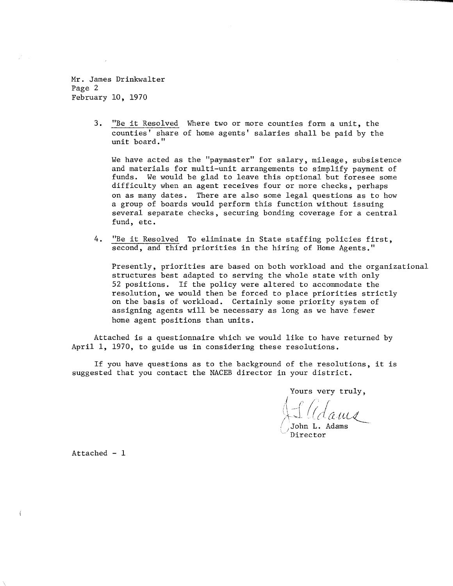Mr. James Drinkwa1ter Page 2 February 10, 1970

> 3. "Be it Resolved Where two or more counties form a unit, the counties' share of home agents' salaries shall be paid by the unit board."

We have acted as the "paymaster" for salary, mileage, subsistence and materials for multi-unit arrangements to simplify payment of funds. We would be glad to leave this optional but foresee some difficulty when an agent receives four or more checks, perhaps on as many dates. There are also some legal questions as to how a group of boards would perform this function without issuing several separate checks, securing bonding coverage for a central fund, etc.

4. "Be it Resolved To eliminate in State staffing policies first, second, and third priorities in the hiring of Home Agents."

Presently, priorities are based on both workload and the organizational structures best adapted to serving the whole state with only 52 positions. If the policy were altered to accommodate the resolution, we would then be forced to place priorities strictly on the basis of workload. Certainly some priority system of assigning agents will be necessary as long as we have fewer home agent positions than units.

Attached is a questionnaire which we would like to have returned by April 1, 1970, to guide us in considering these resolutions.

If you have questions as to the background of the resolutions, it is suggested that you contact the NACEB director in your district.

Yours very truly,

**.....** 

rous very cracy.

John L. Adams 'Director

Attached - 1